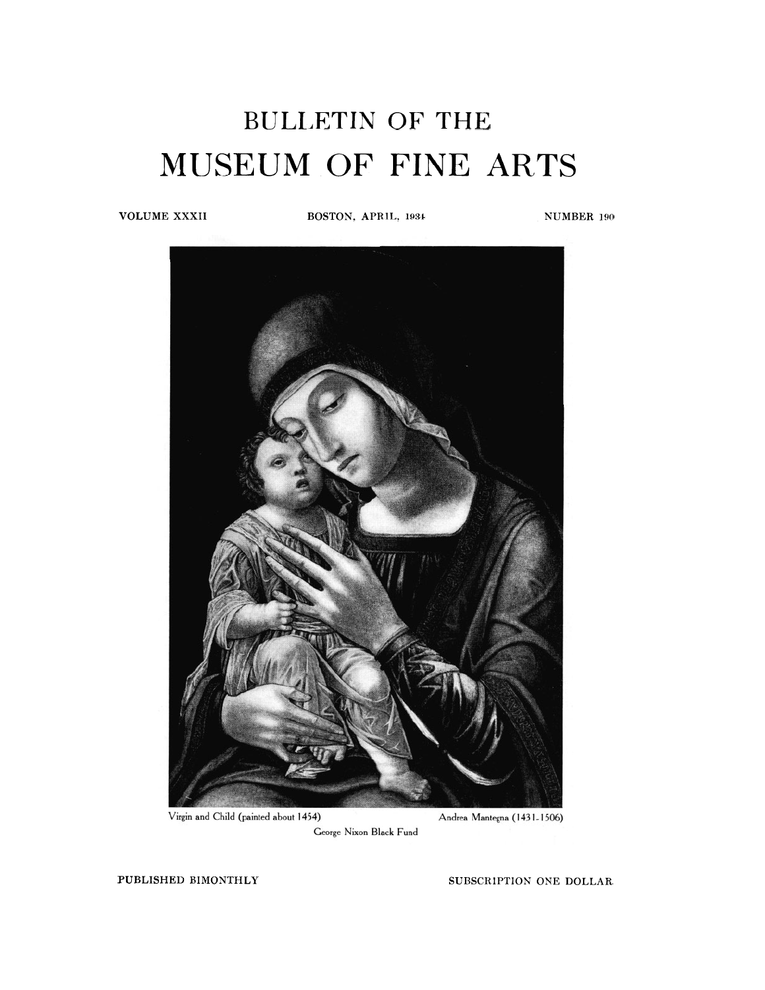# **BULLETIN OF THE**  MUSEUM OF FINE ARTS

**VOLUME XXXII BOSTON, APRIL, 1934** NUMBER 190



Virgin and Child (painted about 1454)

Andrea Mantegna (1431-1506)

George Nixon Black Fund

**PUBLISHED BIMONTHLY** SUBSCRIPTION ONE DOLLAR